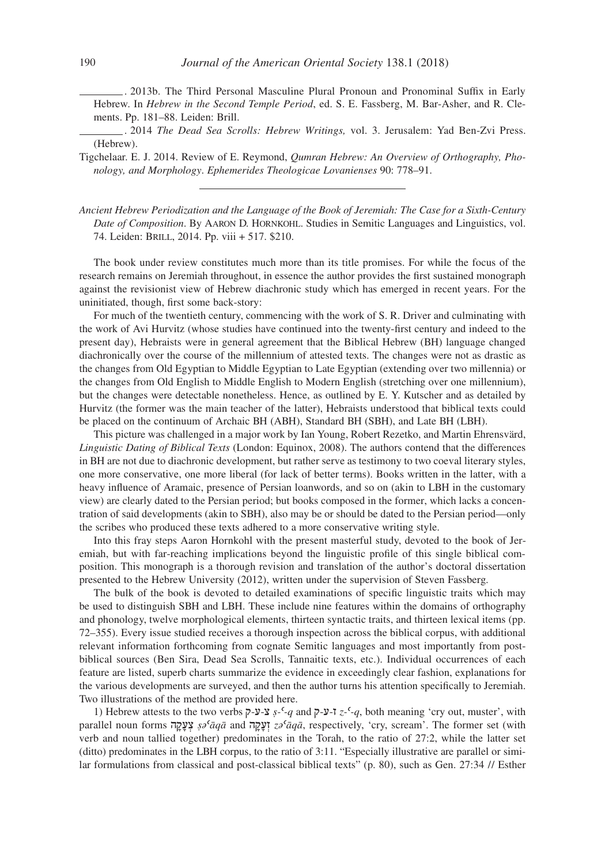. 2013b. The Third Personal Masculine Plural Pronoun and Pronominal Suffix in Early Hebrew. In *Hebrew in the Second Temple Period*, ed. S. E. Fassberg, M. Bar-Asher, and R. Clements. Pp. 181–88. Leiden: Brill.

. 2014 *The Dead Sea Scrolls: Hebrew Writings,* vol. 3. Jerusalem: Yad Ben-Zvi Press. (Hebrew).

Tigchelaar. E. J. 2014. Review of E. Reymond, *Qumran Hebrew: An Overview of Orthography, Phonology, and Morphology*. *Ephemerides Theologicae Lovanienses* 90: 778–91.

*Ancient Hebrew Periodization and the Language of the Book of Jeremiah: The Case for a Sixth-Century Date of Composition*. By Aaron D. Hornkohl. Studies in Semitic Languages and Linguistics, vol. 74. Leiden: Brill, 2014. Pp. viii + 517. \$210.

The book under review constitutes much more than its title promises. For while the focus of the research remains on Jeremiah throughout, in essence the author provides the first sustained monograph against the revisionist view of Hebrew diachronic study which has emerged in recent years. For the uninitiated, though, first some back-story:

For much of the twentieth century, commencing with the work of S. R. Driver and culminating with the work of Avi Hurvitz (whose studies have continued into the twenty-first century and indeed to the present day), Hebraists were in general agreement that the Biblical Hebrew (BH) language changed diachronically over the course of the millennium of attested texts. The changes were not as drastic as the changes from Old Egyptian to Middle Egyptian to Late Egyptian (extending over two millennia) or the changes from Old English to Middle English to Modern English (stretching over one millennium), but the changes were detectable nonetheless. Hence, as outlined by E. Y. Kutscher and as detailed by Hurvitz (the former was the main teacher of the latter), Hebraists understood that biblical texts could be placed on the continuum of Archaic BH (ABH), Standard BH (SBH), and Late BH (LBH).

This picture was challenged in a major work by Ian Young, Robert Rezetko, and Martin Ehrensvärd, *Linguistic Dating of Biblical Texts* (London: Equinox, 2008). The authors contend that the differences in BH are not due to diachronic development, but rather serve as testimony to two coeval literary styles, one more conservative, one more liberal (for lack of better terms). Books written in the latter, with a heavy influence of Aramaic, presence of Persian loanwords, and so on (akin to LBH in the customary view) are clearly dated to the Persian period; but books composed in the former, which lacks a concentration of said developments (akin to SBH), also may be or should be dated to the Persian period—only the scribes who produced these texts adhered to a more conservative writing style.

Into this fray steps Aaron Hornkohl with the present masterful study, devoted to the book of Jeremiah, but with far-reaching implications beyond the linguistic profile of this single biblical composition. This monograph is a thorough revision and translation of the author's doctoral dissertation presented to the Hebrew University (2012), written under the supervision of Steven Fassberg.

The bulk of the book is devoted to detailed examinations of specific linguistic traits which may be used to distinguish SBH and LBH. These include nine features within the domains of orthography and phonology, twelve morphological elements, thirteen syntactic traits, and thirteen lexical items (pp. 72–355). Every issue studied receives a thorough inspection across the biblical corpus, with additional relevant information forthcoming from cognate Semitic languages and most importantly from postbiblical sources (Ben Sira, Dead Sea Scrolls, Tannaitic texts, etc.). Individual occurrences of each feature are listed, superb charts summarize the evidence in exceedingly clear fashion, explanations for the various developments are surveyed, and then the author turns his attention specifically to Jeremiah. Two illustrations of the method are provided here.

1) Hebrew attests to the two verbs ק-ע-צ *ṣ-ʿ-q* and ק-ע-ז *z-ʿ-q*, both meaning 'cry out, muster', with parallel noun forms הָקָע ְצ *ṣəʿāqā* and הָקָעְז *zəʿāqā*, respectively, 'cry, scream'. The former set (with verb and noun tallied together) predominates in the Torah, to the ratio of 27:2, while the latter set (ditto) predominates in the LBH corpus, to the ratio of 3:11. "Especially illustrative are parallel or similar formulations from classical and post-classical biblical texts" (p. 80), such as Gen. 27:34 // Esther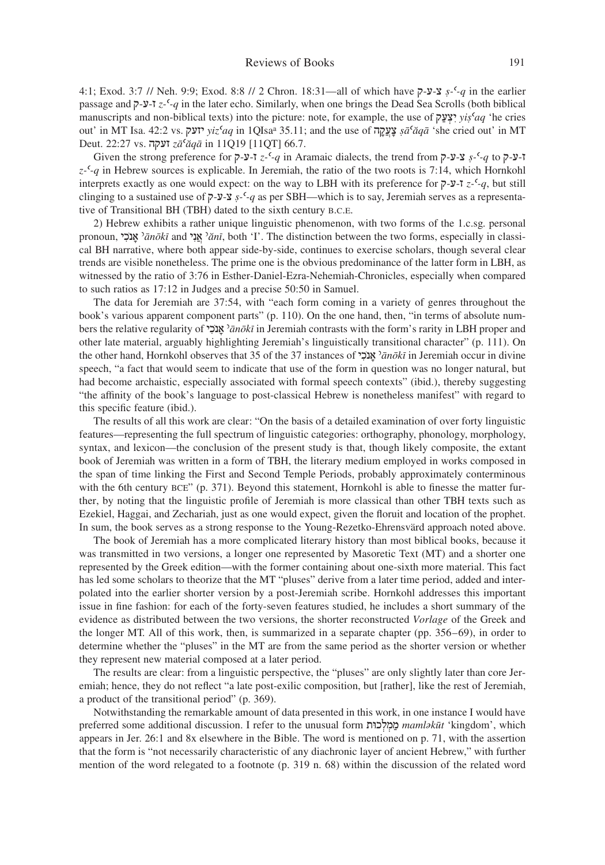4:1; Exod. 3:7 // Neh. 9:9; Exod. 8:8 // 2 Chron. 18:31—all of which have ק-ע-צ *ṣ-ʿ-q* in the earlier passage and ק-ע-ז *z-ʿ-q* in the later echo. Similarly, when one brings the Dead Sea Scrolls (both biblical manuscripts and non-biblical texts) into the picture: note, for example, the use of קַע ְצִי *yiṣʿaq* 'he cries out' in MT Isa. 42:2 vs. יזעק *yizʿaq* in 1QIsaa 35.11; and the use of הָקֲעָצ *ṣāʿăqā* 'she cried out' in MT Deut. 22:27 vs. זעקה *zāʿăqā* in 11Q19 [11QT] 66.7.

Given the strong preference for ק-ע-ז *z-ʿ-q* in Aramaic dialects, the trend from ק-ע-צ *ṣ-ʿ-q* to ק-ע-ז *z-ʿ-q* in Hebrew sources is explicable. In Jeremiah, the ratio of the two roots is 7:14, which Hornkohl interprets exactly as one would expect: on the way to LBH with its preference for ק-ע-ז *z-ʿ-q*, but still clinging to a sustained use of ק-ע-צ *ṣ-ʿ-q* as per SBH—which is to say, Jeremiah serves as a representative of Transitional BH (TBH) dated to the sixth century b.c.e.

2) Hebrew exhibits a rather unique linguistic phenomenon, with two forms of the 1.c.sg. personal pronoun, י ִכֺנָא ʾ*ānōkī* and יִנֲא ʾ*ănī*, both 'I'. The distinction between the two forms, especially in classical BH narrative, where both appear side-by-side, continues to exercise scholars, though several clear trends are visible nonetheless. The prime one is the obvious predominance of the latter form in LBH, as witnessed by the ratio of 3:76 in Esther-Daniel-Ezra-Nehemiah-Chronicles, especially when compared to such ratios as 17:12 in Judges and a precise 50:50 in Samuel.

The data for Jeremiah are 37:54, with "each form coming in a variety of genres throughout the book's various apparent component parts" (p. 110). On the one hand, then, "in terms of absolute numbers the relative regularity of י ִכֺנָא ʾ*ānōkī* in Jeremiah contrasts with the form's rarity in LBH proper and other late material, arguably highlighting Jeremiah's linguistically transitional character" (p. 111). On the other hand, Hornkohl observes that 35 of the 37 instances of י ִכֺנָא ʾ*ānōkī* in Jeremiah occur in divine speech, "a fact that would seem to indicate that use of the form in question was no longer natural, but had become archaistic, especially associated with formal speech contexts" (ibid.), thereby suggesting "the affinity of the book's language to post-classical Hebrew is nonetheless manifest" with regard to this specific feature (ibid.).

The results of all this work are clear: "On the basis of a detailed examination of over forty linguistic features—representing the full spectrum of linguistic categories: orthography, phonology, morphology, syntax, and lexicon—the conclusion of the present study is that, though likely composite, the extant book of Jeremiah was written in a form of TBH, the literary medium employed in works composed in the span of time linking the First and Second Temple Periods, probably approximately conterminous with the 6th century BCE" (p. 371). Beyond this statement, Hornkohl is able to finesse the matter further, by noting that the linguistic profile of Jeremiah is more classical than other TBH texts such as Ezekiel, Haggai, and Zechariah, just as one would expect, given the floruit and location of the prophet. In sum, the book serves as a strong response to the Young-Rezetko-Ehrensvärd approach noted above.

The book of Jeremiah has a more complicated literary history than most biblical books, because it was transmitted in two versions, a longer one represented by Masoretic Text (MT) and a shorter one represented by the Greek edition—with the former containing about one-sixth more material. This fact has led some scholars to theorize that the MT "pluses" derive from a later time period, added and interpolated into the earlier shorter version by a post-Jeremiah scribe. Hornkohl addresses this important issue in fine fashion: for each of the forty-seven features studied, he includes a short summary of the evidence as distributed between the two versions, the shorter reconstructed *Vorlage* of the Greek and the longer MT. All of this work, then, is summarized in a separate chapter (pp. 356–69), in order to determine whether the "pluses" in the MT are from the same period as the shorter version or whether they represent new material composed at a later period.

The results are clear: from a linguistic perspective, the "pluses" are only slightly later than core Jeremiah; hence, they do not reflect "a late post-exilic composition, but [rather], like the rest of Jeremiah, a product of the transitional period" (p. 369).

Notwithstanding the remarkable amount of data presented in this work, in one instance I would have preferred some additional discussion. I refer to the unusual form כוּתְל ְמַמ *mamləkūt* 'kingdom', which appears in Jer. 26:1 and 8x elsewhere in the Bible. The word is mentioned on p. 71, with the assertion that the form is "not necessarily characteristic of any diachronic layer of ancient Hebrew," with further mention of the word relegated to a footnote (p. 319 n. 68) within the discussion of the related word